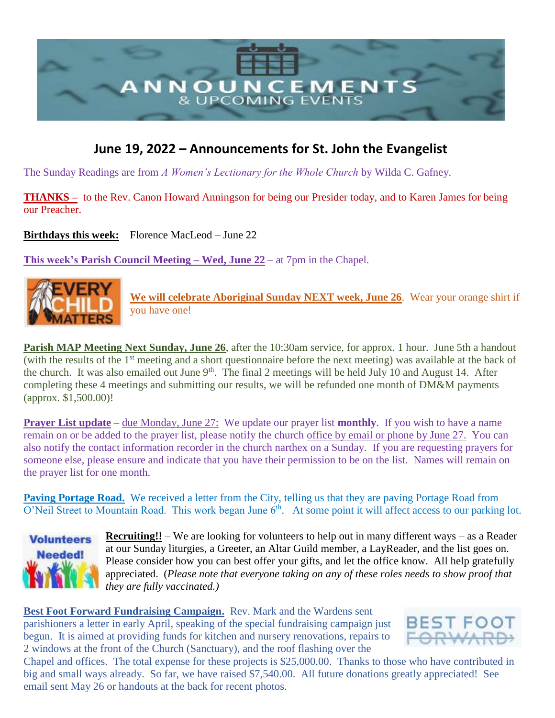

## **June 19, 2022 – Announcements for St. John the Evangelist**

The Sunday Readings are from *A Women's Lectionary for the Whole Church* by Wilda C. Gafney.

**THANKS –** to the Rev. Canon Howard Anningson for being our Presider today, and to Karen James for being our Preacher.

**Birthdays this week:** Florence MacLeod – June 22

**This week's Parish Council Meeting – Wed, June 22** – at 7pm in the Chapel.



**We will celebrate Aboriginal Sunday NEXT week, June 26**. Wear your orange shirt if you have one!

**Parish MAP Meeting Next Sunday, June 26**, after the 10:30am service, for approx. 1 hour. June 5th a handout (with the results of the  $1<sup>st</sup>$  meeting and a short questionnaire before the next meeting) was available at the back of the church. It was also emailed out June  $9<sup>th</sup>$ . The final 2 meetings will be held July 10 and August 14. After completing these 4 meetings and submitting our results, we will be refunded one month of DM&M payments (approx. \$1,500.00)!

**Prayer List update** – due Monday, June 27: We update our prayer list **monthly**. If you wish to have a name remain on or be added to the prayer list, please notify the church office by email or phone by June 27. You can also notify the contact information recorder in the church narthex on a Sunday. If you are requesting prayers for someone else, please ensure and indicate that you have their permission to be on the list. Names will remain on the prayer list for one month.

Paving Portage Road. We received a letter from the City, telling us that they are paving Portage Road from  $O'$ Neil Street to Mountain Road. This work began June  $6<sup>th</sup>$ . At some point it will affect access to our parking lot.



**Recruiting!!** – We are looking for volunteers to help out in many different ways – as a Reader at our Sunday liturgies, a Greeter, an Altar Guild member, a LayReader, and the list goes on. Please consider how you can best offer your gifts, and let the office know. All help gratefully appreciated. (*Please note that everyone taking on any of these roles needs to show proof that they are fully vaccinated.)*

**Best Foot Forward Fundraising Campaign.** Rev. Mark and the Wardens sent parishioners a letter in early April, speaking of the special fundraising campaign just begun. It is aimed at providing funds for kitchen and nursery renovations, repairs to 2 windows at the front of the Church (Sanctuary), and the roof flashing over the



Chapel and offices. The total expense for these projects is \$25,000.00. Thanks to those who have contributed in big and small ways already. So far, we have raised \$7,540.00. All future donations greatly appreciated! See email sent May 26 or handouts at the back for recent photos.